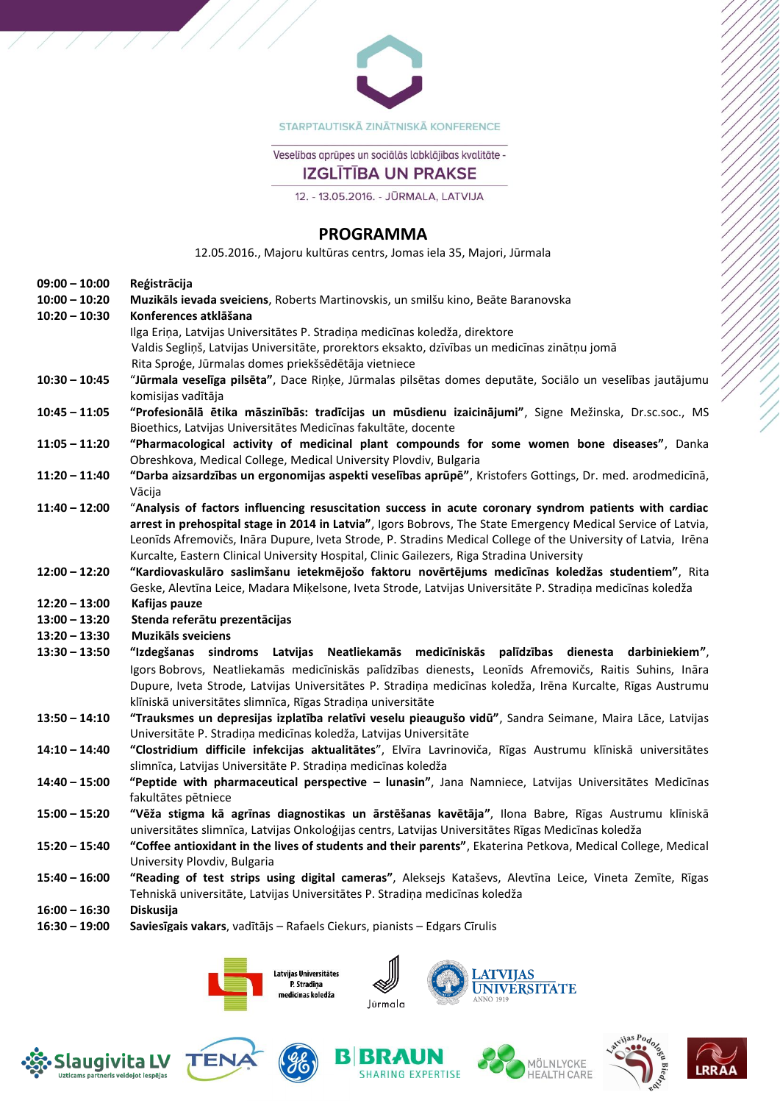

STARPTAUTISKĀ ZINĀTNISKĀ KONFERENCE

Veselības aprūpes un sociālās labklājības kvalitāte -

# **IZGLĪTĪBA UN PRAKSE**

12. - 13.05.2016. - JŪRMALA, LATVIJA

### **PROGRAMMA**

12.05.2016., Majoru kultūras centrs, Jomas iela 35, Majori, Jūrmala

| $09:00 - 10:00$ | Reģistrācija                                                                                                   |
|-----------------|----------------------------------------------------------------------------------------------------------------|
| $10:00 - 10:20$ | Muzikāls ievada sveiciens, Roberts Martinovskis, un smilšu kino, Beāte Baranovska                              |
| $10:20 - 10:30$ | Konferences atklāšana                                                                                          |
|                 | Ilga Eriņa, Latvijas Universitātes P. Stradiņa medicīnas koledža, direktore                                    |
|                 | Valdis Segliņš, Latvijas Universitāte, prorektors eksakto, dzīvības un medicīnas zinātņu jomā                  |
|                 | Rita Sproģe, Jūrmalas domes priekšsēdētāja vietniece                                                           |
| $10:30 - 10:45$ | "Jūrmala veselīga pilsēta", Dace Riņķe, Jūrmalas pilsētas domes deputāte, Sociālo un veselības jautājumu       |
|                 | komisijas vadītāja                                                                                             |
| $10:45 - 11:05$ | "Profesionālā ētika māszinībās: tradīcijas un mūsdienu izaicinājumi", Signe Mežinska, Dr.sc.soc., MS           |
|                 | Bioethics, Latvijas Universitātes Medicīnas fakultāte, docente                                                 |
| $11:05 - 11:20$ | "Pharmacological activity of medicinal plant compounds for some women bone diseases", Danka                    |
|                 | Obreshkova, Medical College, Medical University Plovdiv, Bulgaria                                              |
| $11:20 - 11:40$ | "Darba aizsardzības un ergonomijas aspekti veselības aprūpē", Kristofers Gottings, Dr. med. arodmedicīnā,      |
|                 | Vācija                                                                                                         |
| $11:40 - 12:00$ | "Analysis of factors influencing resuscitation success in acute coronary syndrom patients with cardiac         |
|                 | arrest in prehospital stage in 2014 in Latvia", Igors Bobrovs, The State Emergency Medical Service of Latvia,  |
|                 | Leonīds Afremovičs, Ināra Dupure, Iveta Strode, P. Stradins Medical College of the University of Latvia, Irēna |
|                 | Kurcalte, Eastern Clinical University Hospital, Clinic Gailezers, Riga Stradina University                     |
| $12:00 - 12:20$ | "Kardiovaskulāro saslimšanu ietekmējošo faktoru novērtējums medicīnas koledžas studentiem", Rita               |
|                 | Geske, Alevtīna Leice, Madara Miķelsone, Iveta Strode, Latvijas Universitāte P. Stradiņa medicīnas koledža     |
| $12:20 - 13:00$ | Kafijas pauze                                                                                                  |
| $13:00 - 13:20$ | Stenda referātu prezentācijas                                                                                  |
| $13:20 - 13:30$ | <b>Muzikāls sveiciens</b>                                                                                      |
| $13:30 - 13:50$ | "Izdegšanas sindroms Latvijas Neatliekamās medicīniskās palīdzības dienesta darbiniekiem",                     |
|                 |                                                                                                                |
|                 | Igors Bobrovs, Neatliekamās medicīniskās palīdzības dienests, Leonīds Afremovičs, Raitis Suhins, Ināra         |
|                 | Dupure, Iveta Strode, Latvijas Universitātes P. Stradiņa medicīnas koledža, Irēna Kurcalte, Rīgas Austrumu     |
|                 | klīniskā universitātes slimnīca, Rīgas Stradiņa universitāte                                                   |
| $13:50 - 14:10$ | "Trauksmes un depresijas izplatība relatīvi veselu pieaugušo vidū", Sandra Seimane, Maira Lāce, Latvijas       |
|                 | Universitāte P. Stradiņa medicīnas koledža, Latvijas Universitāte                                              |
| $14:10 - 14:40$ | "Clostridium difficile infekcijas aktualitātes", Elvīra Lavrinoviča, Rīgas Austrumu klīniskā universitātes     |
|                 | slimnīca, Latvijas Universitāte P. Stradiņa medicīnas koledža                                                  |
| $14:40 - 15:00$ | "Peptide with pharmaceutical perspective - lunasin", Jana Namniece, Latvijas Universitātes Medicīnas           |
|                 | fakultātes pētniece                                                                                            |
| $15:00 - 15:20$ | "Vēža stigma kā agrīnas diagnostikas un ārstēšanas kavētāja", Ilona Babre, Rīgas Austrumu klīniskā             |
|                 | universitātes slimnīca, Latvijas Onkoloģijas centrs, Latvijas Universitātes Rīgas Medicīnas koledža            |
| $15:20 - 15:40$ | "Coffee antioxidant in the lives of students and their parents", Ekaterina Petkova, Medical College, Medical   |
|                 | University Plovdiv, Bulgaria                                                                                   |
| $15:40 - 16:00$ | "Reading of test strips using digital cameras", Aleksejs Kataševs, Alevtīna Leice, Vineta Zemīte, Rīgas        |
|                 | Tehniskā universitāte, Latvijas Universitātes P. Stradiņa medicīnas koledža                                    |
| $16:00 - 16:30$ | Diskusija                                                                                                      |

**16:30 – 19:00 Saviesīgais vakars**, vadītājs – Rafaels Ciekurs, pianists – Edgars Cīrulis